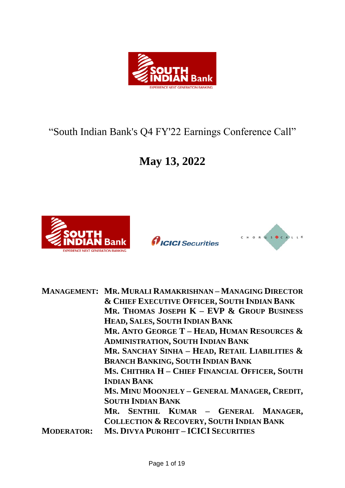

# "South Indian Bank's Q4 FY'22 Earnings Conference Call"

# **May 13, 2022**







|                   | <b>MANAGEMENT: MR. MURALI RAMAKRISHNAN-MANAGING DIRECTOR</b> |
|-------------------|--------------------------------------------------------------|
|                   | <b>&amp; CHIEF EXECUTIVE OFFICER, SOUTH INDIAN BANK</b>      |
|                   | MR. THOMAS JOSEPH $K$ – EVP $\&$ Group Business              |
|                   | HEAD, SALES, SOUTH INDIAN BANK                               |
|                   | MR. ANTO GEORGE T - HEAD, HUMAN RESOURCES $\&$               |
|                   | <b>ADMINISTRATION, SOUTH INDIAN BANK</b>                     |
|                   | MR. SANCHAY SINHA - HEAD, RETAIL LIABILITIES $\&$            |
|                   | <b>BRANCH BANKING, SOUTH INDIAN BANK</b>                     |
|                   | MS. CHITHRA H - CHIEF FINANCIAL OFFICER, SOUTH               |
|                   | <b>INDIAN BANK</b>                                           |
|                   | Ms. MINU MOONJELY - GENERAL MANAGER, CREDIT,                 |
|                   | <b>SOUTH INDIAN BANK</b>                                     |
|                   | MR. SENTHIL KUMAR - GENERAL MANAGER,                         |
|                   | <b>COLLECTION &amp; RECOVERY, SOUTH INDIAN BANK</b>          |
| <b>MODERATOR:</b> | <b>MS. DIVYA PUROHIT - ICICI SECURITIES</b>                  |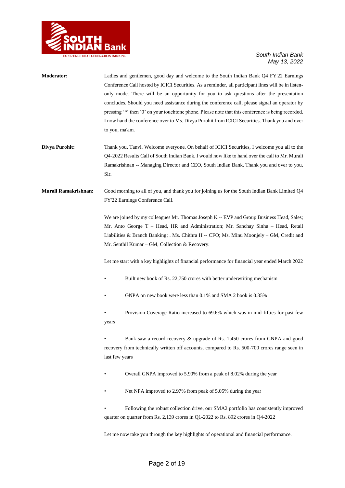

| Moderator:           | Ladies and gentlemen, good day and welcome to the South Indian Bank Q4 FY'22 Earnings<br>Conference Call hosted by ICICI Securities. As a reminder, all participant lines will be in listen-<br>only mode. There will be an opportunity for you to ask questions after the presentation<br>concludes. Should you need assistance during the conference call, please signal an operator by<br>pressing '*' then '0' on your touchtone phone. Please note that this conference is being recorded.<br>I now hand the conference over to Ms. Divya Purohit from ICICI Securities. Thank you and over<br>to you, ma'am. |
|----------------------|--------------------------------------------------------------------------------------------------------------------------------------------------------------------------------------------------------------------------------------------------------------------------------------------------------------------------------------------------------------------------------------------------------------------------------------------------------------------------------------------------------------------------------------------------------------------------------------------------------------------|
| Divya Purohit:       | Thank you, Tanvi. Welcome everyone. On behalf of ICICI Securities, I welcome you all to the<br>Q4-2022 Results Call of South Indian Bank. I would now like to hand over the call to Mr. Murali<br>Ramakrishnan -- Managing Director and CEO, South Indian Bank. Thank you and over to you,<br>Sir.                                                                                                                                                                                                                                                                                                                 |
| Murali Ramakrishnan: | Good morning to all of you, and thank you for joining us for the South Indian Bank Limited Q4<br>FY'22 Earnings Conference Call.                                                                                                                                                                                                                                                                                                                                                                                                                                                                                   |
|                      | We are joined by my colleagues Mr. Thomas Joseph K -- EVP and Group Business Head, Sales;<br>Mr. Anto George T - Head, HR and Administration; Mr. Sanchay Sinha - Head, Retail<br>Liabilities & Branch Banking; . Ms. Chithra H -- CFO; Ms. Minu Moonjely -- GM, Credit and<br>Mr. Senthil Kumar – GM, Collection & Recovery.                                                                                                                                                                                                                                                                                      |
|                      | Let me start with a key highlights of financial performance for financial year ended March 2022                                                                                                                                                                                                                                                                                                                                                                                                                                                                                                                    |
|                      | Built new book of Rs. 22,750 crores with better underwriting mechanism                                                                                                                                                                                                                                                                                                                                                                                                                                                                                                                                             |
|                      | GNPA on new book were less than 0.1% and SMA 2 book is 0.35%                                                                                                                                                                                                                                                                                                                                                                                                                                                                                                                                                       |
|                      | Provision Coverage Ratio increased to 69.6% which was in mid-fifties for past few<br>years                                                                                                                                                                                                                                                                                                                                                                                                                                                                                                                         |
|                      | Bank saw a record recovery & upgrade of Rs. 1,450 crores from GNPA and good<br>recovery from technically written off accounts, compared to Rs. 500-700 crores range seen in<br>last few years                                                                                                                                                                                                                                                                                                                                                                                                                      |
|                      | Overall GNPA improved to 5.90% from a peak of 8.02% during the year                                                                                                                                                                                                                                                                                                                                                                                                                                                                                                                                                |
|                      | Net NPA improved to 2.97% from peak of 5.05% during the year                                                                                                                                                                                                                                                                                                                                                                                                                                                                                                                                                       |
|                      | Following the robust collection drive, our SMA2 portfolio has consistently improved<br>quarter on quarter from Rs. 2,139 crores in Q1-2022 to Rs. 892 crores in Q4-2022                                                                                                                                                                                                                                                                                                                                                                                                                                            |
|                      | Let me now take you through the key highlights of operational and financial performance.                                                                                                                                                                                                                                                                                                                                                                                                                                                                                                                           |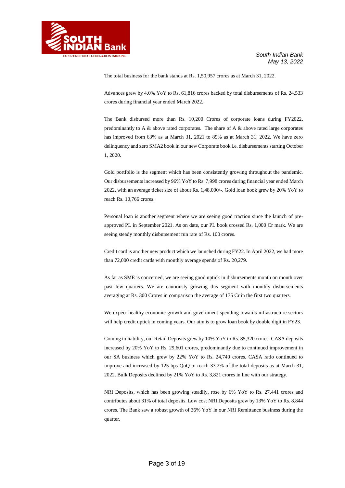

The total business for the bank stands at Rs. 1,50,957 crores as at March 31, 2022.

Advances grew by 4.0% YoY to Rs. 61,816 crores backed by total disbursements of Rs. 24,533 crores during financial year ended March 2022.

The Bank disbursed more than Rs. 10,200 Crores of corporate loans during FY2022, predominantly to A  $\&$  above rated corporates. The share of A  $\&$  above rated large corporates has improved from 63% as at March 31, 2021 to 89% as at March 31, 2022. We have zero delinquency and zero SMA2 book in our new Corporate book i.e. disbursements starting October 1, 2020.

Gold portfolio is the segment which has been consistently growing throughout the pandemic. Our disbursements increased by 96% YoY to Rs. 7,998 crores during financial year ended March 2022, with an average ticket size of about Rs. 1,48,000/-. Gold loan book grew by 20% YoY to reach Rs. 10,766 crores.

Personal loan is another segment where we are seeing good traction since the launch of preapproved PL in September 2021. As on date, our PL book crossed Rs. 1,000 Cr mark. We are seeing steady monthly disbursement run rate of Rs. 100 crores.

Credit card is another new product which we launched during FY22. In April 2022, we had more than 72,000 credit cards with monthly average spends of Rs. 20,279.

As far as SME is concerned, we are seeing good uptick in disbursements month on month over past few quarters. We are cautiously growing this segment with monthly disbursements averaging at Rs. 300 Crores in comparison the average of 175 Cr in the first two quarters.

We expect healthy economic growth and government spending towards infrastructure sectors will help credit uptick in coming years. Our aim is to grow loan book by double digit in FY23.

Coming to liability, our Retail Deposits grew by 10% YoY to Rs. 85,320 crores. CASA deposits increased by 20% YoY to Rs. 29,601 crores, predominantly due to continued improvement in our SA business which grew by 22% YoY to Rs. 24,740 crores. CASA ratio continued to improve and increased by 125 bps QoQ to reach 33.2% of the total deposits as at March 31, 2022. Bulk Deposits declined by 21% YoY to Rs. 3,821 crores in line with our strategy.

NRI Deposits, which has been growing steadily, rose by 6% YoY to Rs. 27,441 crores and contributes about 31% of total deposits. Low cost NRI Deposits grew by 13% YoY to Rs. 8,844 crores. The Bank saw a robust growth of 36% YoY in our NRI Remittance business during the quarter.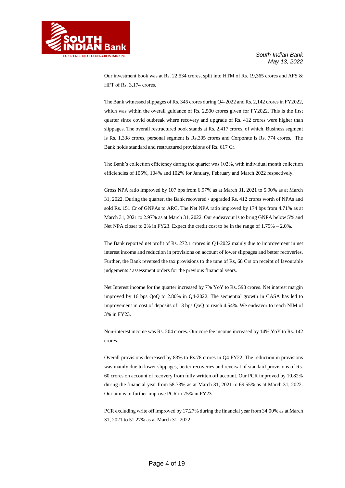

Our investment book was at Rs. 22,534 crores, split into HTM of Rs. 19,365 crores and AFS & HFT of Rs. 3,174 crores.

The Bank witnessed slippages of Rs. 345 crores during Q4-2022 and Rs. 2,142 crores in FY2022, which was within the overall guidance of Rs. 2,500 crores given for FY2022. This is the first quarter since covid outbreak where recovery and upgrade of Rs. 412 crores were higher than slippages. The overall restructured book stands at Rs. 2,417 crores, of which, Business segment is Rs. 1,338 crores, personal segment is Rs.305 crores and Corporate is Rs. 774 crores. The Bank holds standard and restructured provisions of Rs. 617 Cr.

The Bank's collection efficiency during the quarter was 102%, with individual month collection efficiencies of 105%, 104% and 102% for January, February and March 2022 respectively.

Gross NPA ratio improved by 107 bps from 6.97% as at March 31, 2021 to 5.90% as at March 31, 2022. During the quarter, the Bank recovered / upgraded Rs. 412 crores worth of NPAs and sold Rs. 151 Cr of GNPAs to ARC. The Net NPA ratio improved by 174 bps from 4.71% as at March 31, 2021 to 2.97% as at March 31, 2022. Our endeavour is to bring GNPA below 5% and Net NPA closer to 2% in FY23. Expect the credit cost to be in the range of 1.75% – 2.0%.

The Bank reported net profit of Rs. 272.1 crores in Q4-2022 mainly due to improvement in net interest income and reduction in provisions on account of lower slippages and better recoveries. Further, the Bank reversed the tax provisions to the tune of Rs, 68 Crs on receipt of favourable judgements / assessment orders for the previous financial years.

Net Interest income for the quarter increased by 7% YoY to Rs. 598 crores. Net interest margin improved by 16 bps QoQ to 2.80% in Q4-2022. The sequential growth in CASA has led to improvement in cost of deposits of 13 bps QoQ to reach 4.54%. We endeavor to reach NIM of 3% in FY23.

Non-interest income was Rs. 204 crores. Our core fee income increased by 14% YoY to Rs. 142 crores.

Overall provisions decreased by 83% to Rs.78 crores in Q4 FY22. The reduction in provisions was mainly due to lower slippages, better recoveries and reversal of standard provisions of Rs. 60 crores on account of recovery from fully written off account. Our PCR improved by 10.82% during the financial year from 58.73% as at March 31, 2021 to 69.55% as at March 31, 2022. Our aim is to further improve PCR to 75% in FY23.

PCR excluding write off improved by 17.27% during the financial year from 34.00% as at March 31, 2021 to 51.27% as at March 31, 2022.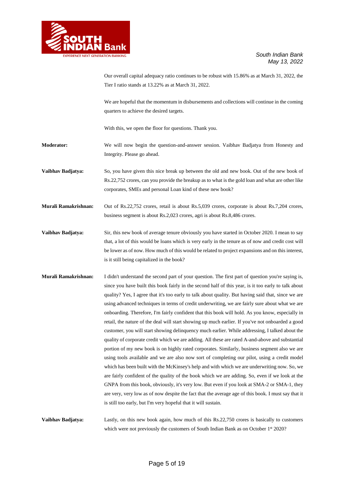

Our overall capital adequacy ratio continues to be robust with 15.86% as at March 31, 2022, the Tier I ratio stands at 13.22% as at March 31, 2022.

We are hopeful that the momentum in disbursements and collections will continue in the coming quarters to achieve the desired targets.

With this, we open the floor for questions. Thank you.

**Moderator:** We will now begin the question-and-answer session. Vaibhav Badjatya from Honesty and Integrity. Please go ahead.

**Vaibhav Badjatya:** So, you have given this nice break up between the old and new book. Out of the new book of Rs.22,752 crores, can you provide the breakup as to what is the gold loan and what are other like corporates, SMEs and personal Loan kind of these new book?

**Murali Ramakrishnan:** Out of Rs.22,752 crores, retail is about Rs.5,039 crores, corporate is about Rs.7,204 crores, business segment is about Rs.2,023 crores, agri is about Rs.8,486 crores.

**Vaibhav Badjatya:** Sir, this new book of average tenure obviously you have started in October 2020. I mean to say that, a lot of this would be loans which is very early in the tenure as of now and credit cost will be lower as of now. How much of this would be related to project expansions and on this interest, is it still being capitalized in the book?

**Murali Ramakrishnan:** I didn't understand the second part of your question. The first part of question you're saying is, since you have built this book fairly in the second half of this year, is it too early to talk about quality? Yes, I agree that it's too early to talk about quality. But having said that, since we are using advanced techniques in terms of credit underwriting, we are fairly sure about what we are onboarding. Therefore, I'm fairly confident that this book will hold. As you know, especially in retail, the nature of the deal will start showing up much earlier. If you've not onboarded a good customer, you will start showing delinquency much earlier. While addressing, I talked about the quality of corporate credit which we are adding. All these are rated A-and-above and substantial portion of my new book is on highly rated corporates. Similarly, business segment also we are using tools available and we are also now sort of completing our pilot, using a credit model which has been built with the McKinsey's help and with which we are underwriting now. So, we are fairly confident of the quality of the book which we are adding. So, even if we look at the GNPA from this book, obviously, it's very low. But even if you look at SMA-2 or SMA-1, they are very, very low as of now despite the fact that the average age of this book. I must say that it is still too early, but I'm very hopeful that it will sustain.

**Vaibhav Badjatya:** Lastly, on this new book again, how much of this Rs.22,750 crores is basically to customers which were not previously the customers of South Indian Bank as on October 1st 2020?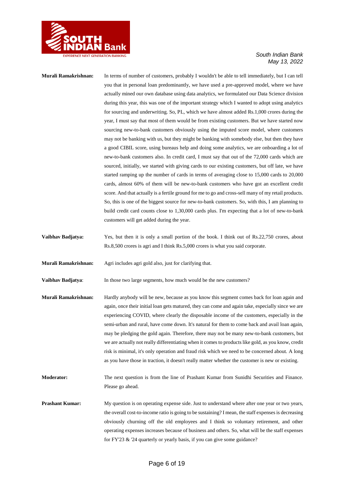

### **Murali Ramakrishnan:** In terms of number of customers, probably I wouldn't be able to tell immediately, but I can tell you that in personal loan predominantly, we have used a pre-approved model, where we have actually mined our own database using data analytics, we formulated our Data Science division during this year, this was one of the important strategy which I wanted to adopt using analytics for sourcing and underwriting. So, PL, which we have almost added Rs.1,000 crores during the year, I must say that most of them would be from existing customers. But we have started now sourcing new-to-bank customers obviously using the imputed score model, where customers may not be banking with us, but they might be banking with somebody else, but then they have a good CIBIL score, using bureaus help and doing some analytics, we are onboarding a lot of new-to-bank customers also. In credit card, I must say that out of the 72,000 cards which are sourced, initially, we started with giving cards to our existing customers, but off late, we have started ramping up the number of cards in terms of averaging close to 15,000 cards to 20,000 cards, almost 60% of them will be new-to-bank customers who have got an excellent credit score. And that actually is a fertile ground for me to go and cross-sell many of my retail products. So, this is one of the biggest source for new-to-bank customers. So, with this, I am planning to build credit card counts close to 1,30,000 cards plus. I'm expecting that a lot of new-to-bank customers will get added during the year.

**Vaibhav Badjatya:** Yes, but then it is only a small portion of the book. I think out of Rs.22,750 crores, about Rs.8,500 crores is agri and I think Rs.5,000 crores is what you said corporate.

**Murali Ramakrishnan:** Agri includes agri gold also, just for clarifying that.

**Vaibhav Badjatya:** In those two large segments, how much would be the new customers?

- **Murali Ramakrishnan:** Hardly anybody will be new, because as you know this segment comes back for loan again and again, once their initial loan gets matured, they can come and again take, especially since we are experiencing COVID, where clearly the disposable income of the customers, especially in the semi-urban and rural, have come down. It's natural for them to come back and avail loan again, may be pledging the gold again. Therefore, there may not be many new-to-bank customers, but we are actually not really differentiating when it comes to products like gold, as you know, credit risk is minimal, it's only operation and fraud risk which we need to be concerned about. A long as you have those in traction, it doesn't really matter whether the customer is new or existing.
- **Moderator:** The next question is from the line of Prashant Kumar from Sunidhi Securities and Finance. Please go ahead.

**Prashant Kumar:** My question is on operating expense side. Just to understand where after one year or two years, the overall cost-to-income ratio is going to be sustaining? I mean, the staff expenses is decreasing obviously churning off the old employees and I think so voluntary retirement, and other operating expenses increases because of business and others. So, what will be the staff expenses for FY'23 & '24 quarterly or yearly basis, if you can give some guidance?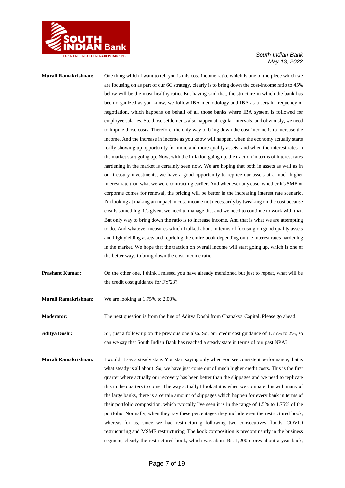

**Murali Ramakrishnan:** One thing which I want to tell you is this cost-income ratio, which is one of the piece which we are focusing on as part of our 6C strategy, clearly is to bring down the cost-income ratio to 45% below will be the most healthy ratio. But having said that, the structure in which the bank has been organized as you know, we follow IBA methodology and IBA as a certain frequency of negotiation, which happens on behalf of all those banks where IBA system is followed for employee salaries. So, those settlements also happen at regular intervals, and obviously, we need to impute those costs. Therefore, the only way to bring down the cost-income is to increase the income. And the increase in income as you know will happen, when the economy actually starts really showing up opportunity for more and more quality assets, and when the interest rates in the market start going up. Now, with the inflation going up, the traction in terms of interest rates hardening in the market is certainly seen now. We are hoping that both in assets as well as in our treasury investments, we have a good opportunity to reprice our assets at a much higher interest rate than what we were contracting earlier. And whenever any case, whether it's SME or corporate comes for renewal, the pricing will be better in the increasing interest rate scenario. I'm looking at making an impact in cost-income not necessarily by tweaking on the cost because cost is something, it's given, we need to manage that and we need to continue to work with that. But only way to bring down the ratio is to increase income. And that is what we are attempting to do. And whatever measures which I talked about in terms of focusing on good quality assets and high yielding assets and repricing the entire book depending on the interest rates hardening in the market. We hope that the traction on overall income will start going up, which is one of the better ways to bring down the cost-income ratio.

**Prashant Kumar:** On the other one, I think I missed you have already mentioned but just to repeat, what will be the credit cost guidance for FY'23?

**Murali Ramakrishnan:** We are looking at 1.75% to 2.00%.

**Moderator:** The next question is from the line of Aditya Doshi from Chanakya Capital. Please go ahead.

**Aditya Doshi:** Sir, just a follow up on the previous one also. So, our credit cost guidance of 1.75% to 2%, so can we say that South Indian Bank has reached a steady state in terms of our past NPA?

**Murali Ramakrishnan:** I wouldn't say a steady state. You start saying only when you see consistent performance, that is what steady is all about. So, we have just come out of much higher credit costs. This is the first quarter where actually our recovery has been better than the slippages and we need to replicate this in the quarters to come. The way actually I look at it is when we compare this with many of the large banks, there is a certain amount of slippages which happen for every bank in terms of their portfolio composition, which typically I've seen it is in the range of 1.5% to 1.75% of the portfolio. Normally, when they say these percentages they include even the restructured book, whereas for us, since we had restructuring following two consecutives floods, COVID restructuring and MSME restructuring. The book composition is predominantly in the business segment, clearly the restructured book, which was about Rs. 1,200 crores about a year back,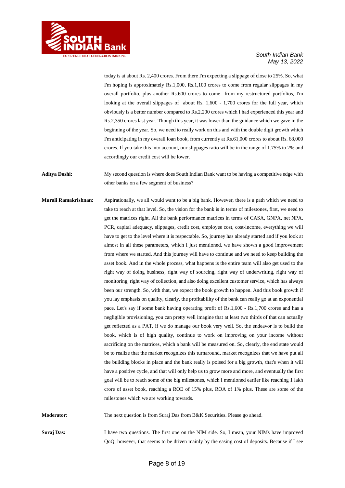

today is at about Rs. 2,400 crores. From there I'm expecting a slippage of close to 25%. So, what I'm hoping is approximately Rs.1,000, Rs.1,100 crores to come from regular slippages in my overall portfolio, plus another Rs.600 crores to come from my restructured portfolios, I'm looking at the overall slippages of about Rs. 1,600 - 1,700 crores for the full year, which obviously is a better number compared to Rs.2,200 crores which I had experienced this year and Rs.2,350 crores last year. Though this year, it was lower than the guidance which we gave in the beginning of the year. So, we need to really work on this and with the double digit growth which I'm anticipating in my overall loan book, from currently at Rs.61,000 crores to about Rs. 68,000 crores. If you take this into account, our slippages ratio will be in the range of 1.75% to 2% and accordingly our credit cost will be lower.

**Aditya Doshi:** My second question is where does South Indian Bank want to be having a competitive edge with other banks on a few segment of business?

**Murali Ramakrishnan:** Aspirationally, we all would want to be a big bank. However, there is a path which we need to take to reach at that level. So, the vision for the bank is in terms of milestones, first, we need to get the matrices right. All the bank performance matrices in terms of CASA, GNPA, net NPA, PCR, capital adequacy, slippages, credit cost, employee cost, cost-income, everything we will have to get to the level where it is respectable. So, journey has already started and if you look at almost in all these parameters, which I just mentioned, we have shown a good improvement from where we started. And this journey will have to continue and we need to keep building the asset book. And in the whole process, what happens is the entire team will also get used to the right way of doing business, right way of sourcing, right way of underwriting, right way of monitoring, right way of collection, and also doing excellent customer service, which has always been our strength. So, with that, we expect the book growth to happen. And this book growth if you lay emphasis on quality, clearly, the profitability of the bank can really go at an exponential pace. Let's say if some bank having operating profit of Rs.1,600 - Rs.1,700 crores and has a negligible provisioning, you can pretty well imagine that at least two thirds of that can actually get reflected as a PAT, if we do manage our book very well. So, the endeavor is to build the book, which is of high quality, continue to work on improving on your income without sacrificing on the matrices, which a bank will be measured on. So, clearly, the end state would be to realize that the market recognizes this turnaround, market recognizes that we have put all the building blocks in place and the bank really is poised for a big growth, that's when it will have a positive cycle, and that will only help us to grow more and more, and eventually the first goal will be to reach some of the big milestones, which I mentioned earlier like reaching 1 lakh crore of asset book, reaching a ROE of 15% plus, ROA of 1% plus. These are some of the milestones which we are working towards.

**Moderator:** The next question is from Suraj Das from B&K Securities. Please go ahead.

**Suraj Das:** I have two questions. The first one on the NIM side. So, I mean, your NIMs have improved QoQ; however, that seems to be driven mainly by the easing cost of deposits. Because if I see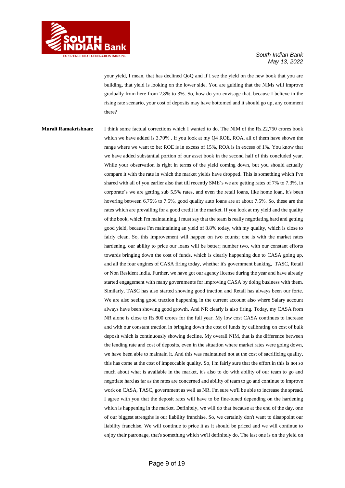

your yield, I mean, that has declined QoQ and if I see the yield on the new book that you are building, that yield is looking on the lower side. You are guiding that the NIMs will improve gradually from here from 2.8% to 3%. So, how do you envisage that, because I believe in the rising rate scenario, your cost of deposits may have bottomed and it should go up, any comment there?

**Murali Ramakrishnan:** I think some factual corrections which I wanted to do. The NIM of the Rs.22,750 crores book which we have added is 3.70%. If you look at my Q4 ROE, ROA, all of them have shown the range where we want to be; ROE is in excess of 15%, ROA is in excess of 1%. You know that we have added substantial portion of our asset book in the second half of this concluded year. While your observation is right in terms of the yield coming down, but you should actually compare it with the rate in which the market yields have dropped. This is something which I've shared with all of you earlier also that till recently SME's we are getting rates of 7% to 7.3%, in corporate's we are getting sub 5.5% rates, and even the retail loans, like home loan, it's been hovering between 6.75% to 7.5%, good quality auto loans are at about 7.5%. So, these are the rates which are prevailing for a good credit in the market. If you look at my yield and the quality of the book, which I'm maintaining, I must say that the team is really negotiating hard and getting good yield, because I'm maintaining an yield of 8.8% today, with my quality, which is close to fairly clean. So, this improvement will happen on two counts; one is with the market rates hardening, our ability to price our loans will be better; number two, with our constant efforts towards bringing down the cost of funds, which is clearly happening due to CASA going up, and all the four engines of CASA firing today, whether it's government banking, TASC, Retail or Non Resident India. Further, we have got our agency license during the year and have already started engagement with many governments for improving CASA by doing business with them. Similarly, TASC has also started showing good traction and Retail has always been our forte. We are also seeing good traction happening in the current account also where Salary account always have been showing good growth. And NR clearly is also firing. Today, my CASA from NR alone is close to Rs.800 crores for the full year. My low cost CASA continues to increase and with our constant traction in bringing down the cost of funds by calibrating on cost of bulk deposit which is continuously showing decline. My overall NIM, that is the difference between the lending rate and cost of deposits, even in the situation where market rates were going down, we have been able to maintain it. And this was maintained not at the cost of sacrificing quality, this has come at the cost of impeccable quality. So, I'm fairly sure that the effort in this is not so much about what is available in the market, it's also to do with ability of our team to go and negotiate hard as far as the rates are concerned and ability of team to go and continue to improve work on CASA, TASC, government as well as NR. I'm sure we'll be able to increase the spread. I agree with you that the deposit rates will have to be fine-tuned depending on the hardening which is happening in the market. Definitely, we will do that because at the end of the day, one of our biggest strengths is our liability franchise. So, we certainly don't want to disappoint our liability franchise. We will continue to price it as it should be priced and we will continue to enjoy their patronage, that's something which we'll definitely do. The last one is on the yield on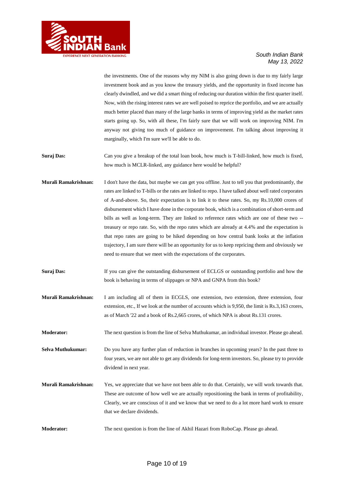

the investments. One of the reasons why my NIM is also going down is due to my fairly large investment book and as you know the treasury yields, and the opportunity in fixed income has clearly dwindled, and we did a smart thing of reducing our duration within the first quarter itself. Now, with the rising interest rates we are well poised to reprice the portfolio, and we are actually much better placed than many of the large banks in terms of improving yield as the market rates starts going up. So, with all these, I'm fairly sure that we will work on improving NIM. I'm anyway not giving too much of guidance on improvement. I'm talking about improving it marginally, which I'm sure we'll be able to do.

- **Suraj Das:** Can you give a breakup of the total loan book, how much is T-bill-linked, how much is fixed, how much is MCLR-linked, any guidance here would be helpful?
- **Murali Ramakrishnan:** I don't have the data, but maybe we can get you offline. Just to tell you that predominantly, the rates are linked to T-bills or the rates are linked to repo. I have talked about well rated corporates of A-and-above. So, their expectation is to link it to these rates. So, my Rs.10,000 crores of disbursement which I have done in the corporate book, which is a combination of short-term and bills as well as long-term. They are linked to reference rates which are one of these two - treasury or repo rate. So, with the repo rates which are already at 4.4% and the expectation is that repo rates are going to be hiked depending on how central bank looks at the inflation trajectory, I am sure there will be an opportunity for us to keep repricing them and obviously we need to ensure that we meet with the expectations of the corporates.
- **Suraj Das:** If you can give the outstanding disbursement of ECLGS or outstanding portfolio and how the book is behaving in terms of slippages or NPA and GNPA from this book?
- **Murali Ramakrishnan:** I am including all of them in ECGLS, one extension, two extension, three extension, four extension, etc., If we look at the number of accounts which is 9,950, the limit is Rs.3,163 crores, as of March '22 and a book of Rs.2,665 crores, of which NPA is about Rs.131 crores.
- **Moderator:** The next question is from the line of Selva Muthukumar, an individual investor. Please go ahead.

**Selva Muthukumar:** Do you have any further plan of reduction in branches in upcoming years? In the past three to four years, we are not able to get any dividends for long-term investors. So, please try to provide dividend in next year.

- **Murali Ramakrishnan:** Yes, we appreciate that we have not been able to do that. Certainly, we will work towards that. These are outcome of how well we are actually repositioning the bank in terms of profitability, Clearly, we are conscious of it and we know that we need to do a lot more hard work to ensure that we declare dividends.
- **Moderator:** The next question is from the line of Akhil Hazari from RoboCap. Please go ahead.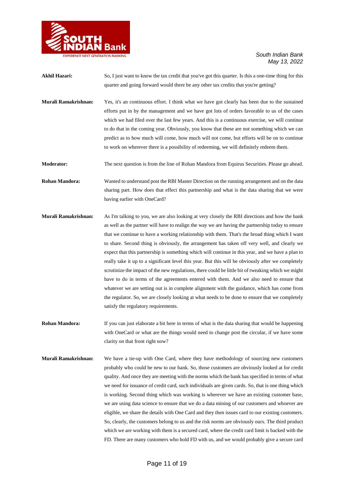

- Akhil Hazari: So, I just want to know the tax credit that you've got this quarter. Is this a one-time thing for this quarter and going forward would there be any other tax credits that you're getting?
- **Murali Ramakrishnan:** Yes, it's an continuous effort. I think what we have got clearly has been due to the sustained efforts put in by the management and we have got lots of orders favorable to us of the cases which we had filed over the last few years. And this is a continuous exercise, we will continue to do that in the coming year. Obviously, you know that these are not something which we can predict as to how much will come, how much will not come, but efforts will be on to continue to work on wherever there is a possibility of redeeming, we will definitely redeem them.
- **Moderator:** The next question is from the line of Rohan Mandora from Equirus Securities. Please go ahead.

**Rohan Mandora:** Wanted to understand post the RBI Master Direction on the running arrangement and on the data sharing part. How does that effect this partnership and what is the data sharing that we were having earlier with OneCard?

- **Murali Ramakrishnan:** As I'm talking to you, we are also looking at very closely the RBI directions and how the bank as well as the partner will have to realign the way we are having the partnership today to ensure that we continue to have a working relationship with them. That's the broad thing which I want to share. Second thing is obviously, the arrangement has taken off very well, and clearly we expect that this partnership is something which will continue in this year, and we have a plan to really take it up to a significant level this year. But this will be obviously after we completely scrutinize the impact of the new regulations, there could be little bit of tweaking which we might have to do in terms of the agreements entered with them. And we also need to ensure that whatever we are setting out is in complete alignment with the guidance, which has come from the regulator. So, we are closely looking at what needs to be done to ensure that we completely satisfy the regulatory requirements.
- **Rohan Mandora:** If you can just elaborate a bit here in terms of what is the data sharing that would be happening with OneCard or what are the things would need to change post the circular, if we have some clarity on that front right now?
- **Murali Ramakrishnan:** We have a tie-up with One Card, where they have methodology of sourcing new customers probably who could be new to our bank. So, those customers are obviously looked at for credit quality. And once they are meeting with the norms which the bank has specified in terms of what we need for issuance of credit card, such individuals are given cards. So, that is one thing which is working. Second thing which was working is wherever we have an existing customer base, we are using data science to ensure that we do a data mining of our customers and whoever are eligible, we share the details with One Card and they then issues card to our existing customers. So, clearly, the customers belong to us and the risk norms are obviously ours. The third product which we are working with them is a secured card, where the credit card limit is backed with the FD. There are many customers who hold FD with us, and we would probably give a secure card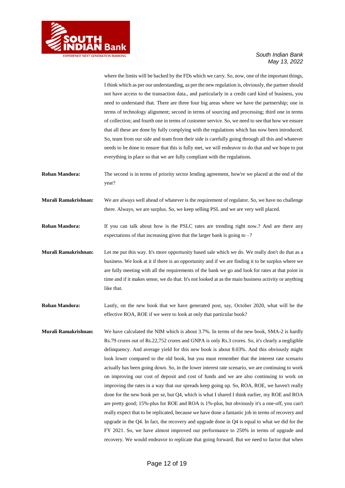

where the limits will be backed by the FDs which we carry. So, now, one of the important things, I think which as per our understanding, as per the new regulation is, obviously, the partner should not have access to the transaction data., and particularly in a credit card kind of business, you need to understand that. There are three four big areas where we have the partnership; one in terms of technology alignment; second in terms of sourcing and processing; third one in terms of collection; and fourth one in terms of customer service. So, we need to see that how we ensure that all these are done by fully complying with the regulations which has now been introduced. So, team from our side and team from their side is carefully going through all this and whatever needs to be done to ensure that this is fully met, we will endeavor to do that and we hope to put everything in place so that we are fully compliant with the regulations.

- **Rohan Mandora:** The second is in terms of priority sector lending agreement, how're we placed at the end of the year?
- **Murali Ramakrishnan:** We are always well ahead of whatever is the requirement of regulator. So, we have no challenge there. Always, we are surplus. So, we keep selling PSL and we are very well placed.

**Rohan Mandora:** If you can talk about how is the PSLC rates are trending right now.? And are there any expectations of that increasing given that the larger bank is going to  $-$ ?

- **Murali Ramakrishnan:** Let me put this way. It's more opportunity based sale which we do. We really don't do that as a business. We look at it if there is an opportunity and if we are finding it to be surplus where we are fully meeting with all the requirements of the bank we go and look for rates at that point in time and if it makes sense, we do that. It's not looked at as the main business activity or anything like that.
- **Rohan Mandora:** Lastly, on the new book that we have generated post, say, October 2020, what will be the effective ROA, ROE if we were to look at only that particular book?
- **Murali Ramakrishnan:** We have calculated the NIM which is about 3.7%. In terms of the new book, SMA-2 is hardly Rs.79 crores out of Rs.22,752 crores and GNPA is only Rs.3 crores. So, it's clearly a negligible delinquency. And average yield for this new book is about 8.03%. And this obviously might look lower compared to the old book, but you must remember that the interest rate scenario actually has been going down. So, in the lower interest rate scenario, we are continuing to work on improving our cost of deposit and cost of funds and we are also continuing to work on improving the rates in a way that our spreads keep going up. So, ROA, ROE, we haven't really done for the new book per se, but Q4, which is what I shared I think earlier, my ROE and ROA are pretty good; 15%-plus for ROE and ROA is 1%-plus, but obviously it's a one-off, you can't really expect that to be replicated, because we have done a fantastic job in terms of recovery and upgrade in the Q4. In fact, the recovery and upgrade done in Q4 is equal to what we did for the FY 2021. So, we have almost improved our performance to 250% in terms of upgrade and recovery. We would endeavor to replicate that going forward. But we need to factor that when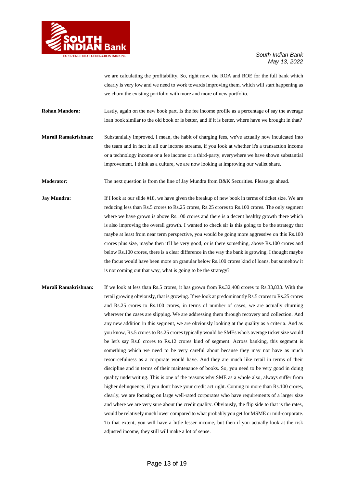

we are calculating the profitability. So, right now, the ROA and ROE for the full bank which clearly is very low and we need to work towards improving them, which will start happening as we churn the existing portfolio with more and more of new portfolio.

**Rohan Mandora:** Lastly, again on the new book part. Is the fee income profile as a percentage of say the average loan book similar to the old book or is better, and if it is better, where have we brought in that?

**Murali Ramakrishnan:** Substantially improved, I mean, the habit of charging fees, we've actually now inculcated into the team and in fact in all our income streams, if you look at whether it's a transaction income or a technology income or a fee income or a third-party, everywhere we have shown substantial improvement. I think as a culture, we are now looking at improving our wallet share.

**Moderator:** The next question is from the line of Jay Mundra from B&K Securities. Please go ahead.

**Jay Mundra:** If I look at our slide #18, we have given the breakup of new book in terms of ticket size. We are reducing less than Rs.5 crores to Rs.25 crores, Rs.25 crores to Rs.100 crores. The only segment where we have grown is above Rs.100 crores and there is a decent healthy growth there which is also improving the overall growth. I wanted to check sir is this going to be the strategy that maybe at least from near term perspective, you would be going more aggressive on this Rs.100 crores plus size, maybe then it'll be very good, or is there something, above Rs.100 crores and below Rs.100 crores, there is a clear difference in the way the bank is growing. I thought maybe the focus would have been more on granular below Rs.100 crores kind of loans, but somehow it is not coming out that way, what is going to be the strategy?

**Murali Ramakrishnan:** If we look at less than Rs.5 crores, it has grown from Rs.32,408 crores to Rs.33,833. With the retail growing obviously, that is growing. If we look at predominantly Rs.5 crores to Rs.25 crores and Rs.25 crores to Rs.100 crores, in terms of number of cases, we are actually churning wherever the cases are slipping. We are addressing them through recovery and collection. And any new addition in this segment, we are obviously looking at the quality as a criteria. And as you know, Rs.5 crores to Rs.25 crores typically would be SMEs who's average ticket size would be let's say Rs.8 crores to Rs.12 crores kind of segment. Across banking, this segment is something which we need to be very careful about because they may not have as much resourcefulness as a corporate would have. And they are much like retail in terms of their discipline and in terms of their maintenance of books. So, you need to be very good in doing quality underwriting. This is one of the reasons why SME as a whole also, always suffer from higher delinquency, if you don't have your credit act right. Coming to more than Rs.100 crores, clearly, we are focusing on large well-rated corporates who have requirements of a larger size and where we are very sure about the credit quality. Obviously, the flip side to that is the rates, would be relatively much lower compared to what probably you get for MSME or mid-corporate. To that extent, you will have a little lesser income, but then if you actually look at the risk adjusted income, they still will make a lot of sense.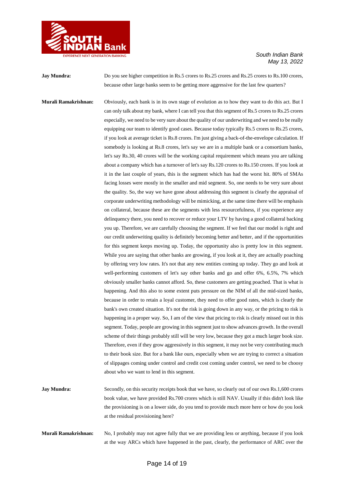

**Jay Mundra:** Do you see higher competition in Rs.5 crores to Rs.25 crores and Rs.25 crores to Rs.100 crores, because other large banks seem to be getting more aggressive for the last few quarters? **Murali Ramakrishnan:** Obviously, each bank is in its own stage of evolution as to how they want to do this act. But I can only talk about my bank, where I can tell you that this segment of Rs.5 crores to Rs.25 crores

especially, we need to be very sure about the quality of our underwriting and we need to be really equipping our team to identify good cases. Because today typically Rs.5 crores to Rs.25 crores, if you look at average ticket is Rs.8 crores. I'm just giving a back-of-the-envelope calculation. If somebody is looking at Rs.8 crores, let's say we are in a multiple bank or a consortium banks, let's say Rs.30, 40 crores will be the working capital requirement which means you are talking about a company which has a turnover of let's say Rs.120 crores to Rs.150 crores. If you look at it in the last couple of years, this is the segment which has had the worst hit. 80% of SMAs facing losses were mostly in the smaller and mid segment. So, one needs to be very sure about the quality. So, the way we have gone about addressing this segment is clearly the appraisal of corporate underwriting methodology will be mimicking, at the same time there will be emphasis on collateral, because these are the segments with less resourcefulness, if you experience any delinquency there, you need to recover or reduce your LTV by having a good collateral backing you up. Therefore, we are carefully choosing the segment. If we feel that our model is right and our credit underwriting quality is definitely becoming better and better, and if the opportunities for this segment keeps moving up. Today, the opportunity also is pretty low in this segment. While you are saying that other banks are growing, if you look at it, they are actually poaching by offering very low rates. It's not that any new entities coming up today. They go and look at well-performing customers of let's say other banks and go and offer 6%, 6.5%, 7% which obviously smaller banks cannot afford. So, these customers are getting poached. That is what is happening. And this also to some extent puts pressure on the NIM of all the mid-sized banks, because in order to retain a loyal customer, they need to offer good rates, which is clearly the bank's own created situation. It's not the risk is going down in any way, or the pricing to risk is happening in a proper way. So, I am of the view that pricing to risk is clearly missed out in this segment. Today, people are growing in this segment just to show advances growth. In the overall scheme of their things probably still will be very low, because they got a much larger book size. Therefore, even if they grow aggressively in this segment, it may not be very contributing much to their book size. But for a bank like ours, especially when we are trying to correct a situation of slippages coming under control and credit cost coming under control, we need to be choosy about who we want to lend in this segment.

- **Jay Mundra:** Secondly, on this security receipts book that we have, so clearly out of our own Rs.1,600 crores book value, we have provided Rs.700 crores which is still NAV. Usually if this didn't look like the provisioning is on a lower side, do you tend to provide much more here or how do you look at the residual provisioning here?
- **Murali Ramakrishnan:** No, I probably may not agree fully that we are providing less or anything, because if you look at the way ARCs which have happened in the past, clearly, the performance of ARC over the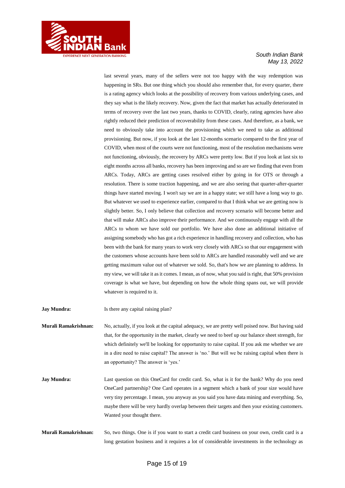

last several years, many of the sellers were not too happy with the way redemption was happening in SRs. But one thing which you should also remember that, for every quarter, there is a rating agency which looks at the possibility of recovery from various underlying cases, and they say what is the likely recovery. Now, given the fact that market has actually deteriorated in terms of recovery over the last two years, thanks to COVID, clearly, rating agencies have also rightly reduced their prediction of recoverability from these cases. And therefore, as a bank, we need to obviously take into account the provisioning which we need to take as additional provisioning. But now, if you look at the last 12-months scenario compared to the first year of COVID, when most of the courts were not functioning, most of the resolution mechanisms were not functioning, obviously, the recovery by ARCs were pretty low. But if you look at last six to eight months across all banks, recovery has been improving and so are we finding that even from ARCs. Today, ARCs are getting cases resolved either by going in for OTS or through a resolution. There is some traction happening, and we are also seeing that quarter-after-quarter things have started moving. I won't say we are in a happy state; we still have a long way to go. But whatever we used to experience earlier, compared to that I think what we are getting now is slightly better. So, I only believe that collection and recovery scenario will become better and that will make ARCs also improve their performance. And we continuously engage with all the ARCs to whom we have sold our portfolio. We have also done an additional initiative of assigning somebody who has got a rich experience in handling recovery and collection, who has been with the bank for many years to work very closely with ARCs so that our engagement with the customers whose accounts have been sold to ARCs are handled reasonably well and we are getting maximum value out of whatever we sold. So, that's how we are planning to address. In my view, we will take it as it comes. I mean, as of now, what you said is right, that 50% provision coverage is what we have, but depending on how the whole thing spans out, we will provide whatever is required to it.

**Jay Mundra:** Is there any capital raising plan?

**Murali Ramakrishnan:** No, actually, if you look at the capital adequacy, we are pretty well poised now. But having said that, for the opportunity in the market, clearly we need to beef up our balance sheet strength, for which definitely we'll be looking for opportunity to raise capital. If you ask me whether we are in a dire need to raise capital? The answer is 'no.' But will we be raising capital when there is an opportunity? The answer is 'yes.'

**Jay Mundra:** Last question on this OneCard for credit card. So, what is it for the bank? Why do you need OneCard partnership? One Card operates in a segment which a bank of your size would have very tiny percentage. I mean, you anyway as you said you have data mining and everything. So, maybe there will be very hardly overlap between their targets and then your existing customers. Wanted your thought there.

**Murali Ramakrishnan:** So, two things. One is if you want to start a credit card business on your own, credit card is a long gestation business and it requires a lot of considerable investments in the technology as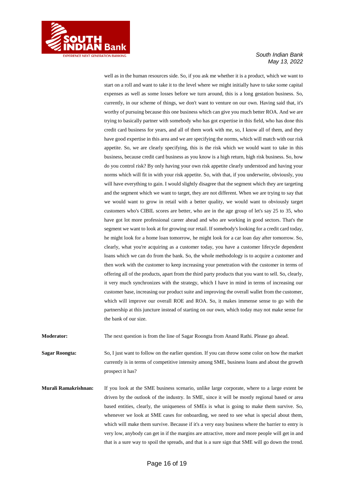

well as in the human resources side. So, if you ask me whether it is a product, which we want to start on a roll and want to take it to the level where we might initially have to take some capital expenses as well as some losses before we turn around, this is a long gestation business. So, currently, in our scheme of things, we don't want to venture on our own. Having said that, it's worthy of pursuing because this one business which can give you much better ROA. And we are trying to basically partner with somebody who has got expertise in this field, who has done this credit card business for years, and all of them work with me, so, I know all of them, and they have good expertise in this area and we are specifying the norms, which will match with our risk appetite. So, we are clearly specifying, this is the risk which we would want to take in this business, because credit card business as you know is a high return, high risk business. So, how do you control risk? By only having your own risk appetite clearly understood and having your norms which will fit in with your risk appetite. So, with that, if you underwrite, obviously, you will have everything to gain. I would slightly disagree that the segment which they are targeting and the segment which we want to target, they are not different. When we are trying to say that we would want to grow in retail with a better quality, we would want to obviously target customers who's CIBIL scores are better, who are in the age group of let's say 25 to 35, who have got lot more professional career ahead and who are working in good sectors. That's the segment we want to look at for growing our retail. If somebody's looking for a credit card today, he might look for a home loan tomorrow, he might look for a car loan day after tomorrow. So, clearly, what you're acquiring as a customer today, you have a customer lifecycle dependent loans which we can do from the bank. So, the whole methodology is to acquire a customer and then work with the customer to keep increasing your penetration with the customer in terms of offering all of the products, apart from the third party products that you want to sell. So, clearly, it very much synchronizes with the strategy, which I have in mind in terms of increasing our customer base, increasing our product suite and improving the overall wallet from the customer, which will improve our overall ROE and ROA. So, it makes immense sense to go with the partnership at this juncture instead of starting on our own, which today may not make sense for the bank of our size.

**Moderator:** The next question is from the line of Sagar Roongta from Anand Rathi. Please go ahead.

**Sagar Roongta:** So, I just want to follow on the earlier question. If you can throw some color on how the market currently is in terms of competitive intensity among SME, business loans and about the growth prospect it has?

**Murali Ramakrishnan:** If you look at the SME business scenario, unlike large corporate, where to a large extent be driven by the outlook of the industry. In SME, since it will be mostly regional based or area based entities, clearly, the uniqueness of SMEs is what is going to make them survive. So, whenever we look at SME cases for onboarding, we need to see what is special about them, which will make them survive. Because if it's a very easy business where the barrier to entry is very low, anybody can get in if the margins are attractive, more and more people will get in and that is a sure way to spoil the spreads, and that is a sure sign that SME will go down the trend.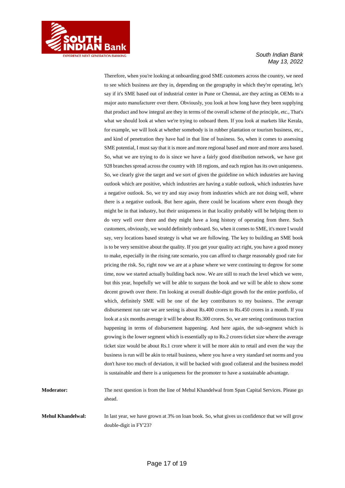

Therefore, when you're looking at onboarding good SME customers across the country, we need to see which business are they in, depending on the geography in which they're operating, let's say if it's SME based out of industrial center in Pune or Chennai, are they acting as OEMs to a major auto manufacturer over there. Obviously, you look at how long have they been supplying that product and how integral are they in terms of the overall scheme of the principle, etc., That's what we should look at when we're trying to onboard them. If you look at markets like Kerala, for example, we will look at whether somebody is in rubber plantation or tourism business, etc., and kind of penetration they have had in that line of business. So, when it comes to assessing SME potential, I must say that it is more and more regional based and more and more area based. So, what we are trying to do is since we have a fairly good distribution network, we have got 928 branches spread across the country with 18 regions, and each region has its own uniqueness. So, we clearly give the target and we sort of given the guideline on which industries are having outlook which are positive, which industries are having a stable outlook, which industries have a negative outlook. So, we try and stay away from industries which are not doing well, where there is a negative outlook. But here again, there could be locations where even though they might be in that industry, but their uniqueness in that locality probably will be helping them to do very well over there and they might have a long history of operating from there. Such customers, obviously, we would definitely onboard. So, when it comes to SME, it's more I would say, very locations based strategy is what we are following. The key to building an SME book is to be very sensitive about the quality. If you get your quality act right, you have a good money to make, especially in the rising rate scenario, you can afford to charge reasonably good rate for pricing the risk. So, right now we are at a phase where we were continuing to degrow for some time, now we started actually building back now. We are still to reach the level which we were, but this year, hopefully we will be able to surpass the book and we will be able to show some decent growth over there. I'm looking at overall double-digit growth for the entire portfolio, of which, definitely SME will be one of the key contributors to my business. The average disbursement run rate we are seeing is about Rs.400 crores to Rs.450 crores in a month. If you look at a six months average it will be about Rs.300 crores. So, we are seeing continuous traction happening in terms of disbursement happening. And here again, the sub-segment which is growing is the lower segment which is essentially up to Rs.2 crores ticket size where the average ticket size would be about Rs.1 crore where it will be more akin to retail and even the way the business is run will be akin to retail business, where you have a very standard set norms and you don't have too much of deviation, it will be backed with good collateral and the business model is sustainable and there is a uniqueness for the promoter to have a sustainable advantage.

**Moderator:** The next question is from the line of Mehul Khandelwal from Span Capital Services. Please go ahead.

**Mehul Khandelwal:** In last year, we have grown at 3% on loan book. So, what gives us confidence that we will grow double-digit in FY'23?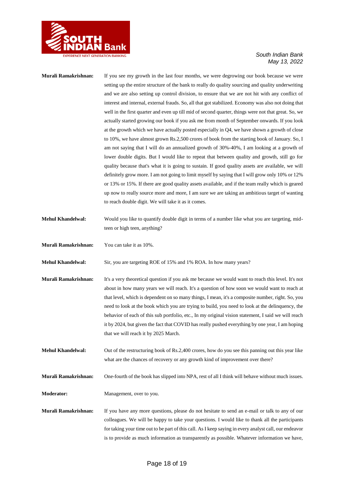

## **Murali Ramakrishnan:** If you see my growth in the last four months, we were degrowing our book because we were setting up the entire structure of the bank to really do quality sourcing and quality underwriting and we are also setting up control division, to ensure that we are not hit with any conflict of interest and internal, external frauds. So, all that got stabilized. Economy was also not doing that well in the first quarter and even up till mid of second quarter, things were not that great. So, we actually started growing our book if you ask me from month of September onwards. If you look at the growth which we have actually posted especially in Q4, we have shown a growth of close to 10%, we have almost grown Rs.2,500 crores of book from the starting book of January. So, I am not saying that I will do an annualized growth of 30%-40%, I am looking at a growth of lower double digits. But I would like to repeat that between quality and growth, still go for quality because that's what it is going to sustain. If good quality assets are available, we will definitely grow more. I am not going to limit myself by saying that I will grow only 10% or 12% or 13% or 15%. If there are good quality assets available, and if the team really which is geared up now to really source more and more, I am sure we are taking an ambitious target of wanting to reach double digit. We will take it as it comes. **Mehul Khandelwal:** Would you like to quantify double digit in terms of a number like what you are targeting, midteen or high teen, anything? **Murali Ramakrishnan:** You can take it as 10%. **Mehul Khandelwal:** Sir, you are targeting ROE of 15% and 1% ROA. In how many years? **Murali Ramakrishnan:** It's a very theoretical question if you ask me because we would want to reach this level. It's not about in how many years we will reach. It's a question of how soon we would want to reach at that level, which is dependent on so many things, I mean, it's a composite number, right. So, you need to look at the book which you are trying to build, you need to look at the delinquency, the behavior of each of this sub portfolio, etc., In my original vision statement, I said we will reach it by 2024, but given the fact that COVID has really pushed everything by one year, I am hoping that we will reach it by 2025 March. **Mehul Khandelwal:** Out of the restructuring book of Rs.2,400 crores, how do you see this panning out this year like what are the chances of recovery or any growth kind of improvement over there? **Murali Ramakrishnan:** One-fourth of the book has slipped into NPA, rest of all I think will behave without much issues. **Moderator:** Management, over to you. **Murali Ramakrishnan:** If you have any more questions, please do not hesitate to send an e-mail or talk to any of our colleagues. We will be happy to take your questions. I would like to thank all the participants for taking your time out to be part of this call. As I keep saying in every analyst call, our endeavor is to provide as much information as transparently as possible. Whatever information we have,